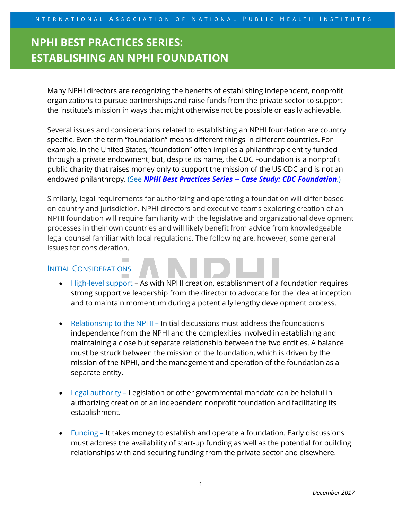# **NPHI BEST PRACTICES SERIES: ESTABLISHING AN NPHI FOUNDATION**

Many NPHI directors are recognizing the benefits of establishing independent, nonprofit organizations to pursue partnerships and raise funds from the private sector to support the institute's mission in ways that might otherwise not be possible or easily achievable.

Several issues and considerations related to establishing an NPHI foundation are country specific. Even the term "foundation" means different things in different countries. For example, in the United States, "foundation" often implies a philanthropic entity funded through a private endowment, but, despite its name, the CDC Foundation is a nonprofit public charity that raises money only to support the mission of the US CDC and is not an endowed philanthropy. (See *NPHI Best Practices Series -- Case Study: CDC Foundation*.)

Similarly, legal requirements for authorizing and operating a foundation will differ based on country and jurisdiction. NPHI directors and executive teams exploring creation of an NPHI foundation will require familiarity with the legislative and organizational development processes in their own countries and will likely benefit from advice from knowledgeable legal counsel familiar with local regulations. The following are, however, some general issues for consideration.

### INITIAL CONSIDERATIONS

- High-level support As with NPHI creation, establishment of a foundation requires strong supportive leadership from the director to advocate for the idea at inception and to maintain momentum during a potentially lengthy development process.
- Relationship to the NPHI Initial discussions must address the foundation's independence from the NPHI and the complexities involved in establishing and maintaining a close but separate relationship between the two entities. A balance must be struck between the mission of the foundation, which is driven by the mission of the NPHI, and the management and operation of the foundation as a separate entity.
- Legal authority Legislation or other governmental mandate can be helpful in authorizing creation of an independent nonprofit foundation and facilitating its establishment.
- Funding It takes money to establish and operate a foundation. Early discussions must address the availability of start-up funding as well as the potential for building relationships with and securing funding from the private sector and elsewhere.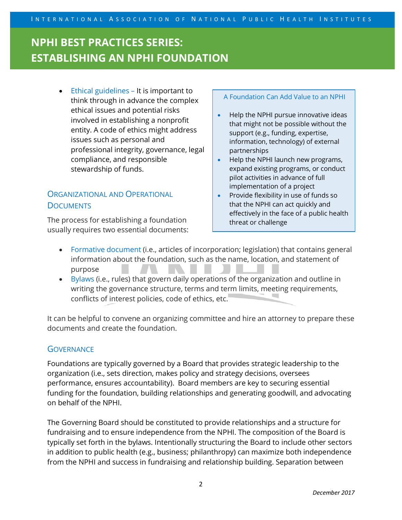# **NPHI BEST PRACTICES SERIES: ESTABLISHING AN NPHI FOUNDATION**

• Ethical guidelines – It is important to think through in advance the complex ethical issues and potential risks involved in establishing a nonprofit entity. A code of ethics might address issues such as personal and professional integrity, governance, legal compliance, and responsible stewardship of funds.

### ORGANIZATIONAL AND OPERATIONAL **DOCUMENTS**

The process for establishing a foundation usually requires two essential documents:

#### A Foundation Can Add Value to an NPHI

- Help the NPHI pursue innovative ideas that might not be possible without the support (e.g., funding, expertise, information, technology) of external partnerships
- Help the NPHI launch new programs, expand existing programs, or conduct pilot activities in advance of full implementation of a project
- Provide flexibility in use of funds so that the NPHI can act quickly and effectively in the face of a public health threat or challenge
- Formative document (i.e., articles of incorporation; legislation) that contains general information about the foundation, such as the name, location, and statement of purpose
- Bylaws (i.e., rules) that govern daily operations of the organization and outline in writing the governance structure, terms and term limits, meeting requirements, conflicts of interest policies, code of ethics, etc.

It can be helpful to convene an organizing committee and hire an attorney to prepare these documents and create the foundation.

### **GOVERNANCE**

Foundations are typically governed by a Board that provides strategic leadership to the organization (i.e., sets direction, makes policy and strategy decisions, oversees performance, ensures accountability). Board members are key to securing essential funding for the foundation, building relationships and generating goodwill, and advocating on behalf of the NPHI.

The Governing Board should be constituted to provide relationships and a structure for fundraising and to ensure independence from the NPHI. The composition of the Board is typically set forth in the bylaws. Intentionally structuring the Board to include other sectors in addition to public health (e.g., business; philanthropy) can maximize both independence from the NPHI and success in fundraising and relationship building. Separation between